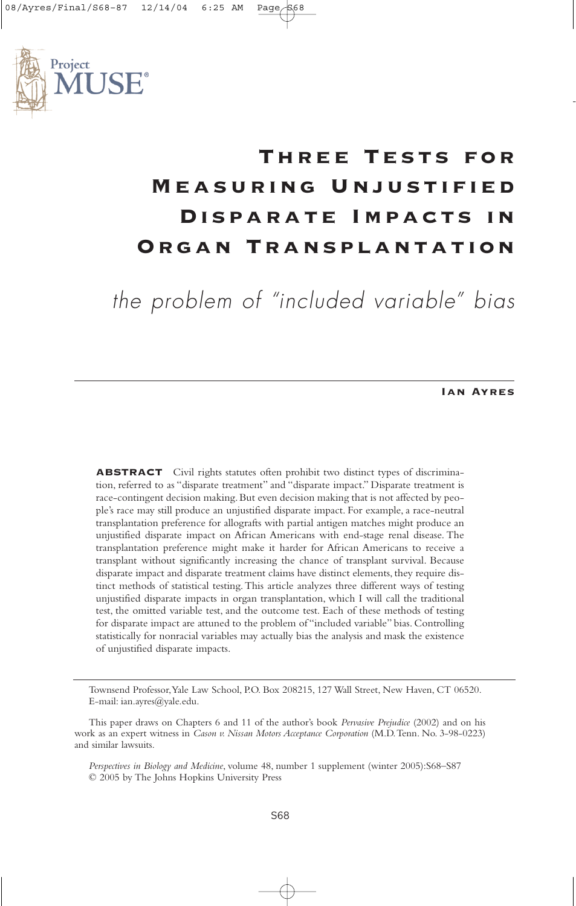

# Three Tests for Measuring Unjustified Disparate Impacts in Organ Transplantation

*the problem of "included variable" bias* 

Ian Ayres

ABSTRACT Civil rights statutes often prohibit two distinct types of discrimination, referred to as "disparate treatment" and "disparate impact." Disparate treatment is race-contingent decision making. But even decision making that is not affected by people's race may still produce an unjustified disparate impact. For example, a race-neutral transplantation preference for allografts with partial antigen matches might produce an unjustified disparate impact on African Americans with end-stage renal disease. The transplantation preference might make it harder for African Americans to receive a transplant without significantly increasing the chance of transplant survival. Because disparate impact and disparate treatment claims have distinct elements, they require distinct methods of statistical testing.This article analyzes three different ways of testing unjustified disparate impacts in organ transplantation, which I will call the traditional test, the omitted variable test, and the outcome test. Each of these methods of testing for disparate impact are attuned to the problem of "included variable" bias. Controlling statistically for nonracial variables may actually bias the analysis and mask the existence of unjustified disparate impacts.

Townsend Professor,Yale Law School, P.O. Box 208215, 127 Wall Street, New Haven, CT 06520. E-mail: ian.ayres@yale.edu.

This paper draws on Chapters 6 and 11 of the author's book *Pervasive Prejudice* (2002) and on his work as an expert witness in *Cason v. Nissan Motors Acceptance Corporation* (M.D.Tenn. No. 3-98-0223) and similar lawsuits.

*Perspectives in Biology and Medicine*, volume 48, number 1 supplement (winter 2005):S68–S87 © 2005 by The Johns Hopkins University Press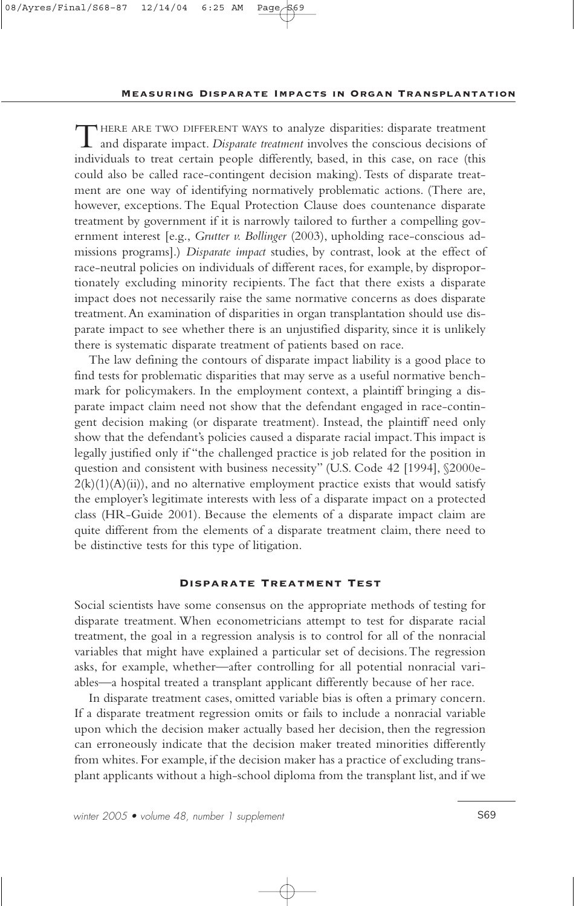THERE ARE TWO DIFFERENT WAYS to analyze disparities: disparate treatment<br>and disparate impact. *Disparate treatment* involves the conscious decisions of individuals to treat certain people differently, based, in this case, on race (this could also be called race-contingent decision making). Tests of disparate treatment are one way of identifying normatively problematic actions. (There are, however, exceptions. The Equal Protection Clause does countenance disparate treatment by government if it is narrowly tailored to further a compelling government interest [e.g., *Grutter v. Bollinger* (2003), upholding race-conscious admissions programs].) *Disparate impact* studies, by contrast, look at the effect of race-neutral policies on individuals of different races, for example, by disproportionately excluding minority recipients. The fact that there exists a disparate impact does not necessarily raise the same normative concerns as does disparate treatment.An examination of disparities in organ transplantation should use disparate impact to see whether there is an unjustified disparity, since it is unlikely there is systematic disparate treatment of patients based on race.

The law defining the contours of disparate impact liability is a good place to find tests for problematic disparities that may serve as a useful normative benchmark for policymakers. In the employment context, a plaintiff bringing a disparate impact claim need not show that the defendant engaged in race-contingent decision making (or disparate treatment). Instead, the plaintiff need only show that the defendant's policies caused a disparate racial impact.This impact is legally justified only if "the challenged practice is job related for the position in question and consistent with business necessity" (U.S. Code 42 [1994], §2000e- $2(k)(1)(A)(ii)$ , and no alternative employment practice exists that would satisfy the employer's legitimate interests with less of a disparate impact on a protected class (HR-Guide 2001). Because the elements of a disparate impact claim are quite different from the elements of a disparate treatment claim, there need to be distinctive tests for this type of litigation.

## Disparate Treatment Test

Social scientists have some consensus on the appropriate methods of testing for disparate treatment. When econometricians attempt to test for disparate racial treatment, the goal in a regression analysis is to control for all of the nonracial variables that might have explained a particular set of decisions.The regression asks, for example, whether—after controlling for all potential nonracial variables—a hospital treated a transplant applicant differently because of her race.

In disparate treatment cases, omitted variable bias is often a primary concern. If a disparate treatment regression omits or fails to include a nonracial variable upon which the decision maker actually based her decision, then the regression can erroneously indicate that the decision maker treated minorities differently from whites. For example, if the decision maker has a practice of excluding transplant applicants without a high-school diploma from the transplant list, and if we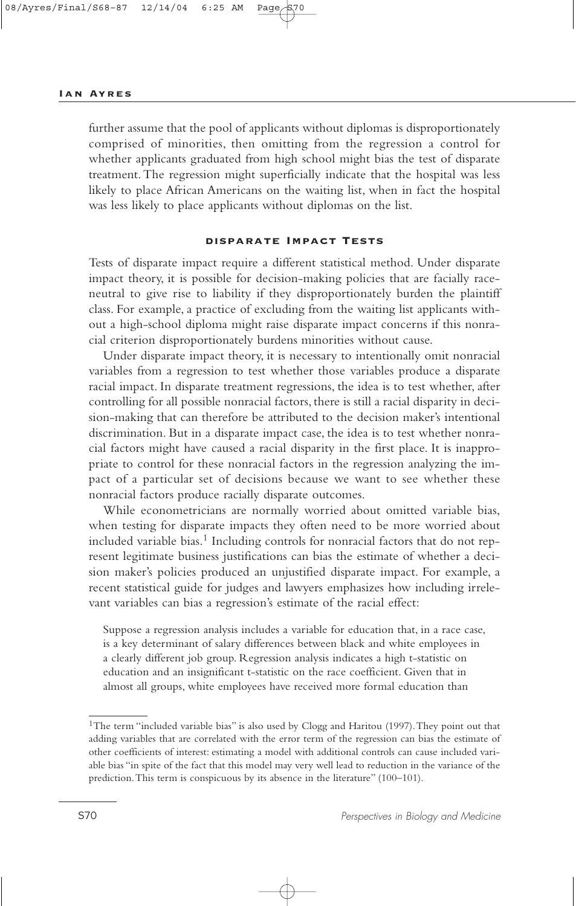further assume that the pool of applicants without diplomas is disproportionately comprised of minorities, then omitting from the regression a control for whether applicants graduated from high school might bias the test of disparate treatment. The regression might superficially indicate that the hospital was less likely to place African Americans on the waiting list, when in fact the hospital was less likely to place applicants without diplomas on the list.

## disparate Impact Tests

Tests of disparate impact require a different statistical method. Under disparate impact theory, it is possible for decision-making policies that are facially raceneutral to give rise to liability if they disproportionately burden the plaintiff class. For example, a practice of excluding from the waiting list applicants without a high-school diploma might raise disparate impact concerns if this nonracial criterion disproportionately burdens minorities without cause.

Under disparate impact theory, it is necessary to intentionally omit nonracial variables from a regression to test whether those variables produce a disparate racial impact. In disparate treatment regressions, the idea is to test whether, after controlling for all possible nonracial factors, there is still a racial disparity in decision-making that can therefore be attributed to the decision maker's intentional discrimination. But in a disparate impact case, the idea is to test whether nonracial factors might have caused a racial disparity in the first place. It is inappropriate to control for these nonracial factors in the regression analyzing the impact of a particular set of decisions because we want to see whether these nonracial factors produce racially disparate outcomes.

While econometricians are normally worried about omitted variable bias, when testing for disparate impacts they often need to be more worried about included variable bias.<sup>1</sup> Including controls for nonracial factors that do not represent legitimate business justifications can bias the estimate of whether a decision maker's policies produced an unjustified disparate impact. For example, a recent statistical guide for judges and lawyers emphasizes how including irrelevant variables can bias a regression's estimate of the racial effect:

Suppose a regression analysis includes a variable for education that, in a race case, is a key determinant of salary differences between black and white employees in a clearly different job group. Regression analysis indicates a high t-statistic on education and an insignificant t-statistic on the race coefficient. Given that in almost all groups, white employees have received more formal education than

<sup>&</sup>lt;sup>1</sup>The term "included variable bias" is also used by Clogg and Haritou (1997). They point out that adding variables that are correlated with the error term of the regression can bias the estimate of other coefficients of interest: estimating a model with additional controls can cause included variable bias "in spite of the fact that this model may very well lead to reduction in the variance of the prediction.This term is conspicuous by its absence in the literature" (100–101).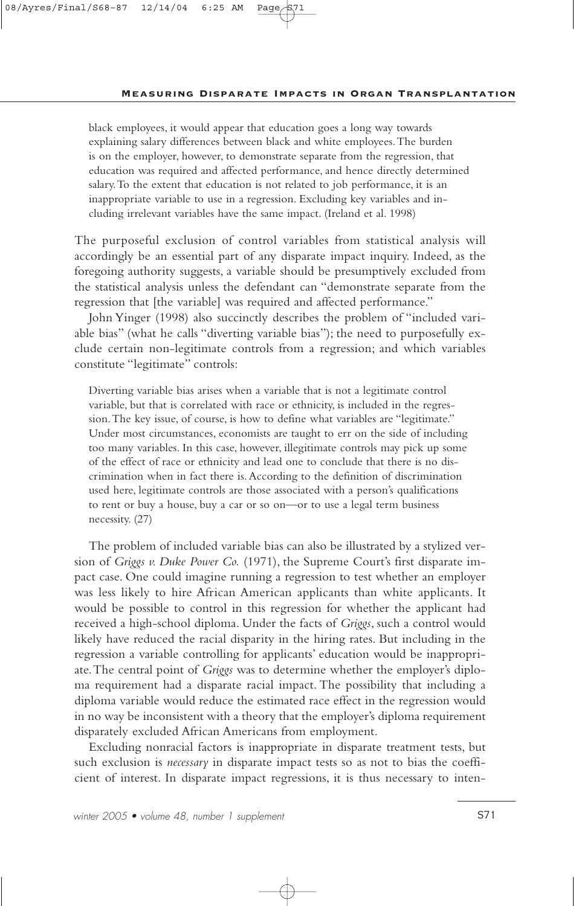black employees, it would appear that education goes a long way towards explaining salary differences between black and white employees.The burden is on the employer, however, to demonstrate separate from the regression, that education was required and affected performance, and hence directly determined salary.To the extent that education is not related to job performance, it is an inappropriate variable to use in a regression. Excluding key variables and including irrelevant variables have the same impact. (Ireland et al. 1998)

The purposeful exclusion of control variables from statistical analysis will accordingly be an essential part of any disparate impact inquiry. Indeed, as the foregoing authority suggests, a variable should be presumptively excluded from the statistical analysis unless the defendant can "demonstrate separate from the regression that [the variable] was required and affected performance."

John Yinger (1998) also succinctly describes the problem of "included variable bias" (what he calls "diverting variable bias"); the need to purposefully exclude certain non-legitimate controls from a regression; and which variables constitute "legitimate" controls:

Diverting variable bias arises when a variable that is not a legitimate control variable, but that is correlated with race or ethnicity, is included in the regression.The key issue, of course, is how to define what variables are "legitimate." Under most circumstances, economists are taught to err on the side of including too many variables. In this case, however, illegitimate controls may pick up some of the effect of race or ethnicity and lead one to conclude that there is no discrimination when in fact there is.According to the definition of discrimination used here, legitimate controls are those associated with a person's qualifications to rent or buy a house, buy a car or so on—or to use a legal term business necessity. (27)

The problem of included variable bias can also be illustrated by a stylized version of *Griggs v. Duke Power Co.* (1971), the Supreme Court's first disparate impact case. One could imagine running a regression to test whether an employer was less likely to hire African American applicants than white applicants. It would be possible to control in this regression for whether the applicant had received a high-school diploma. Under the facts of *Griggs*, such a control would likely have reduced the racial disparity in the hiring rates. But including in the regression a variable controlling for applicants' education would be inappropriate.The central point of *Griggs* was to determine whether the employer's diploma requirement had a disparate racial impact. The possibility that including a diploma variable would reduce the estimated race effect in the regression would in no way be inconsistent with a theory that the employer's diploma requirement disparately excluded African Americans from employment.

Excluding nonracial factors is inappropriate in disparate treatment tests, but such exclusion is *necessary* in disparate impact tests so as not to bias the coefficient of interest. In disparate impact regressions, it is thus necessary to inten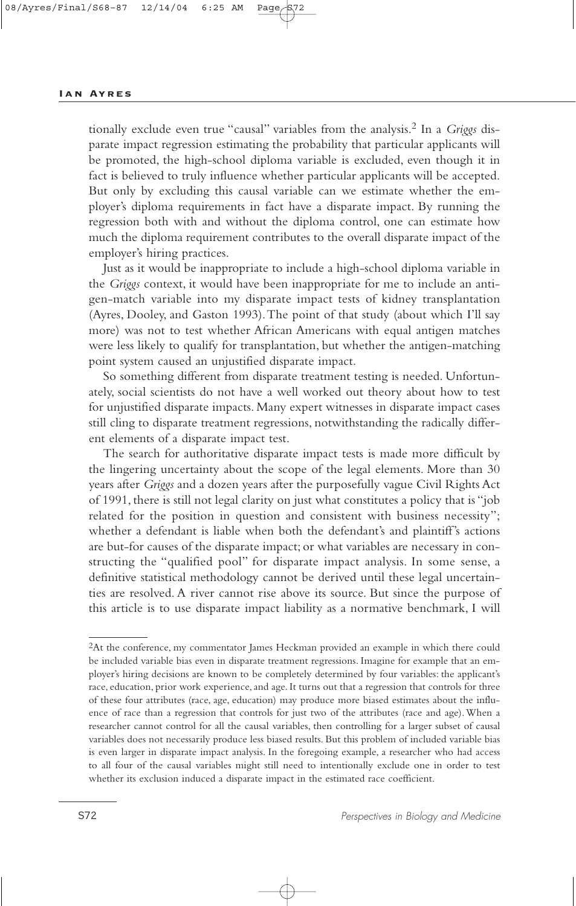tionally exclude even true "causal" variables from the analysis.<sup>2</sup> In a *Griggs* disparate impact regression estimating the probability that particular applicants will be promoted, the high-school diploma variable is excluded, even though it in fact is believed to truly influence whether particular applicants will be accepted. But only by excluding this causal variable can we estimate whether the employer's diploma requirements in fact have a disparate impact. By running the regression both with and without the diploma control, one can estimate how much the diploma requirement contributes to the overall disparate impact of the employer's hiring practices.

Just as it would be inappropriate to include a high-school diploma variable in the *Griggs* context, it would have been inappropriate for me to include an antigen-match variable into my disparate impact tests of kidney transplantation (Ayres, Dooley, and Gaston 1993).The point of that study (about which I'll say more) was not to test whether African Americans with equal antigen matches were less likely to qualify for transplantation, but whether the antigen-matching point system caused an unjustified disparate impact.

So something different from disparate treatment testing is needed. Unfortunately, social scientists do not have a well worked out theory about how to test for unjustified disparate impacts. Many expert witnesses in disparate impact cases still cling to disparate treatment regressions, notwithstanding the radically different elements of a disparate impact test.

The search for authoritative disparate impact tests is made more difficult by the lingering uncertainty about the scope of the legal elements. More than 30 years after *Griggs* and a dozen years after the purposefully vague Civil Rights Act of 1991, there is still not legal clarity on just what constitutes a policy that is "job related for the position in question and consistent with business necessity"; whether a defendant is liable when both the defendant's and plaintiff's actions are but-for causes of the disparate impact; or what variables are necessary in constructing the "qualified pool" for disparate impact analysis. In some sense, a definitive statistical methodology cannot be derived until these legal uncertainties are resolved. A river cannot rise above its source. But since the purpose of this article is to use disparate impact liability as a normative benchmark, I will

<sup>2</sup>At the conference, my commentator James Heckman provided an example in which there could be included variable bias even in disparate treatment regressions. Imagine for example that an employer's hiring decisions are known to be completely determined by four variables: the applicant's race, education, prior work experience, and age. It turns out that a regression that controls for three of these four attributes (race, age, education) may produce more biased estimates about the influence of race than a regression that controls for just two of the attributes (race and age).When a researcher cannot control for all the causal variables, then controlling for a larger subset of causal variables does not necessarily produce less biased results. But this problem of included variable bias is even larger in disparate impact analysis. In the foregoing example, a researcher who had access to all four of the causal variables might still need to intentionally exclude one in order to test whether its exclusion induced a disparate impact in the estimated race coefficient.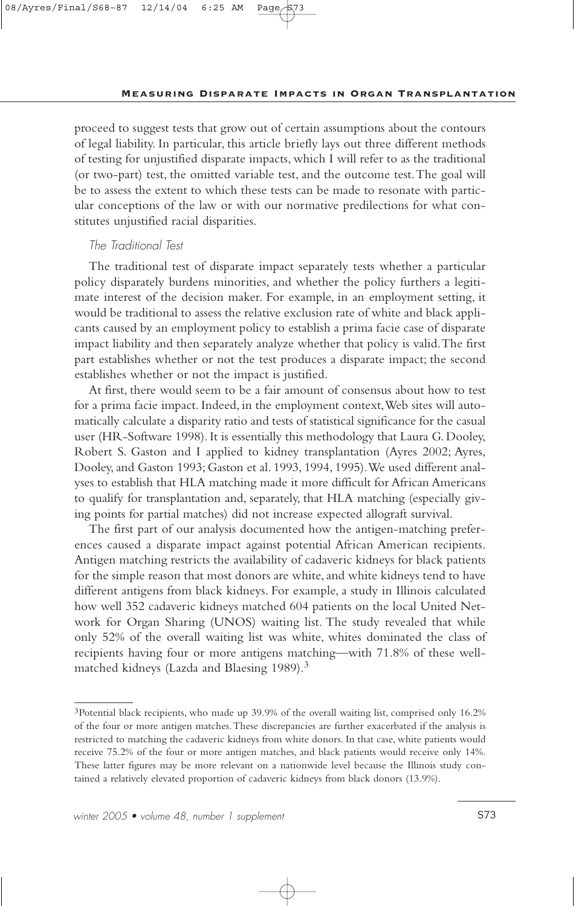proceed to suggest tests that grow out of certain assumptions about the contours of legal liability. In particular, this article briefly lays out three different methods of testing for unjustified disparate impacts, which I will refer to as the traditional (or two-part) test, the omitted variable test, and the outcome test.The goal will be to assess the extent to which these tests can be made to resonate with particular conceptions of the law or with our normative predilections for what constitutes unjustified racial disparities.

# *The Traditional Test*

The traditional test of disparate impact separately tests whether a particular policy disparately burdens minorities, and whether the policy furthers a legitimate interest of the decision maker. For example, in an employment setting, it would be traditional to assess the relative exclusion rate of white and black applicants caused by an employment policy to establish a prima facie case of disparate impact liability and then separately analyze whether that policy is valid.The first part establishes whether or not the test produces a disparate impact; the second establishes whether or not the impact is justified.

At first, there would seem to be a fair amount of consensus about how to test for a prima facie impact. Indeed, in the employment context,Web sites will automatically calculate a disparity ratio and tests of statistical significance for the casual user (HR-Software 1998). It is essentially this methodology that Laura G. Dooley, Robert S. Gaston and I applied to kidney transplantation (Ayres 2002; Ayres, Dooley, and Gaston 1993; Gaston et al. 1993, 1994, 1995).We used different analyses to establish that HLA matching made it more difficult for African Americans to qualify for transplantation and, separately, that HLA matching (especially giving points for partial matches) did not increase expected allograft survival.

The first part of our analysis documented how the antigen-matching preferences caused a disparate impact against potential African American recipients. Antigen matching restricts the availability of cadaveric kidneys for black patients for the simple reason that most donors are white, and white kidneys tend to have different antigens from black kidneys. For example, a study in Illinois calculated how well 352 cadaveric kidneys matched 604 patients on the local United Network for Organ Sharing (UNOS) waiting list. The study revealed that while only 52% of the overall waiting list was white, whites dominated the class of recipients having four or more antigens matching—with 71.8% of these wellmatched kidneys (Lazda and Blaesing 1989).<sup>3</sup>

<sup>3</sup>Potential black recipients, who made up 39.9% of the overall waiting list, comprised only 16.2% of the four or more antigen matches.These discrepancies are further exacerbated if the analysis is restricted to matching the cadaveric kidneys from white donors. In that case, white patients would receive 75.2% of the four or more antigen matches, and black patients would receive only 14%. These latter figures may be more relevant on a nationwide level because the Illinois study contained a relatively elevated proportion of cadaveric kidneys from black donors (13.9%).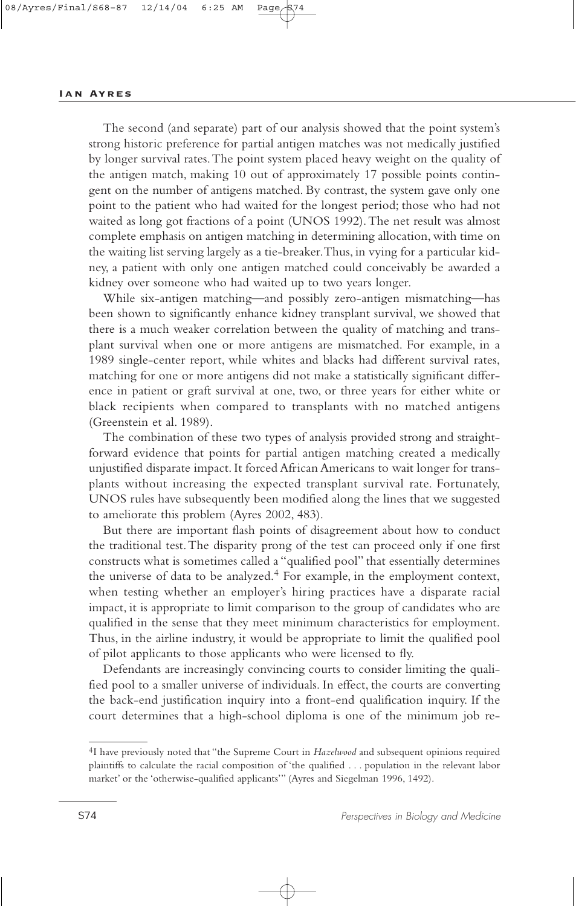The second (and separate) part of our analysis showed that the point system's strong historic preference for partial antigen matches was not medically justified by longer survival rates.The point system placed heavy weight on the quality of the antigen match, making 10 out of approximately 17 possible points contingent on the number of antigens matched. By contrast, the system gave only one point to the patient who had waited for the longest period; those who had not waited as long got fractions of a point (UNOS 1992). The net result was almost complete emphasis on antigen matching in determining allocation, with time on the waiting list serving largely as a tie-breaker.Thus, in vying for a particular kidney, a patient with only one antigen matched could conceivably be awarded a kidney over someone who had waited up to two years longer.

While six-antigen matching—and possibly zero-antigen mismatching—has been shown to significantly enhance kidney transplant survival, we showed that there is a much weaker correlation between the quality of matching and transplant survival when one or more antigens are mismatched. For example, in a 1989 single-center report, while whites and blacks had different survival rates, matching for one or more antigens did not make a statistically significant difference in patient or graft survival at one, two, or three years for either white or black recipients when compared to transplants with no matched antigens (Greenstein et al. 1989).

The combination of these two types of analysis provided strong and straightforward evidence that points for partial antigen matching created a medically unjustified disparate impact. It forced African Americans to wait longer for transplants without increasing the expected transplant survival rate. Fortunately, UNOS rules have subsequently been modified along the lines that we suggested to ameliorate this problem (Ayres 2002, 483).

But there are important flash points of disagreement about how to conduct the traditional test.The disparity prong of the test can proceed only if one first constructs what is sometimes called a "qualified pool" that essentially determines the universe of data to be analyzed.<sup>4</sup> For example, in the employment context, when testing whether an employer's hiring practices have a disparate racial impact, it is appropriate to limit comparison to the group of candidates who are qualified in the sense that they meet minimum characteristics for employment. Thus, in the airline industry, it would be appropriate to limit the qualified pool of pilot applicants to those applicants who were licensed to fly.

Defendants are increasingly convincing courts to consider limiting the qualified pool to a smaller universe of individuals. In effect, the courts are converting the back-end justification inquiry into a front-end qualification inquiry. If the court determines that a high-school diploma is one of the minimum job re-

<sup>4</sup>I have previously noted that "the Supreme Court in *Hazelwood* and subsequent opinions required plaintiffs to calculate the racial composition of 'the qualified . . . population in the relevant labor market' or the 'otherwise-qualified applicants'" (Ayres and Siegelman 1996, 1492).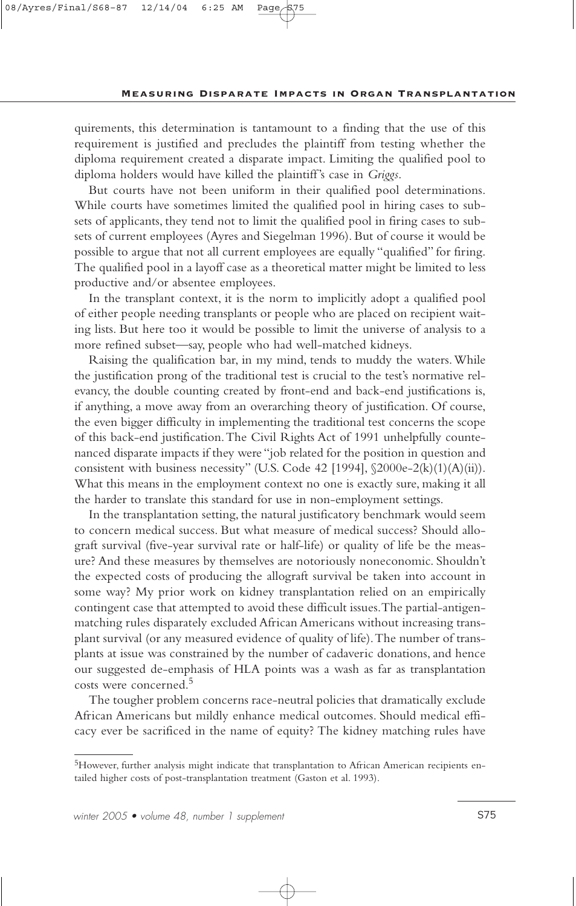quirements, this determination is tantamount to a finding that the use of this requirement is justified and precludes the plaintiff from testing whether the diploma requirement created a disparate impact. Limiting the qualified pool to diploma holders would have killed the plaintiff's case in *Griggs*.

But courts have not been uniform in their qualified pool determinations. While courts have sometimes limited the qualified pool in hiring cases to subsets of applicants, they tend not to limit the qualified pool in firing cases to subsets of current employees (Ayres and Siegelman 1996). But of course it would be possible to argue that not all current employees are equally "qualified" for firing. The qualified pool in a layoff case as a theoretical matter might be limited to less productive and/or absentee employees.

In the transplant context, it is the norm to implicitly adopt a qualified pool of either people needing transplants or people who are placed on recipient waiting lists. But here too it would be possible to limit the universe of analysis to a more refined subset—say, people who had well-matched kidneys.

Raising the qualification bar, in my mind, tends to muddy the waters.While the justification prong of the traditional test is crucial to the test's normative relevancy, the double counting created by front-end and back-end justifications is, if anything, a move away from an overarching theory of justification. Of course, the even bigger difficulty in implementing the traditional test concerns the scope of this back-end justification.The Civil Rights Act of 1991 unhelpfully countenanced disparate impacts if they were "job related for the position in question and consistent with business necessity" (U.S. Code 42 [1994], §2000e-2(k)(1)(A)(ii)). What this means in the employment context no one is exactly sure, making it all the harder to translate this standard for use in non-employment settings.

In the transplantation setting, the natural justificatory benchmark would seem to concern medical success. But what measure of medical success? Should allograft survival (five-year survival rate or half-life) or quality of life be the measure? And these measures by themselves are notoriously noneconomic. Shouldn't the expected costs of producing the allograft survival be taken into account in some way? My prior work on kidney transplantation relied on an empirically contingent case that attempted to avoid these difficult issues.The partial-antigenmatching rules disparately excluded African Americans without increasing transplant survival (or any measured evidence of quality of life).The number of transplants at issue was constrained by the number of cadaveric donations, and hence our suggested de-emphasis of HLA points was a wash as far as transplantation costs were concerned.<sup>5</sup>

The tougher problem concerns race-neutral policies that dramatically exclude African Americans but mildly enhance medical outcomes. Should medical efficacy ever be sacrificed in the name of equity? The kidney matching rules have

<sup>5</sup>However, further analysis might indicate that transplantation to African American recipients entailed higher costs of post-transplantation treatment (Gaston et al. 1993).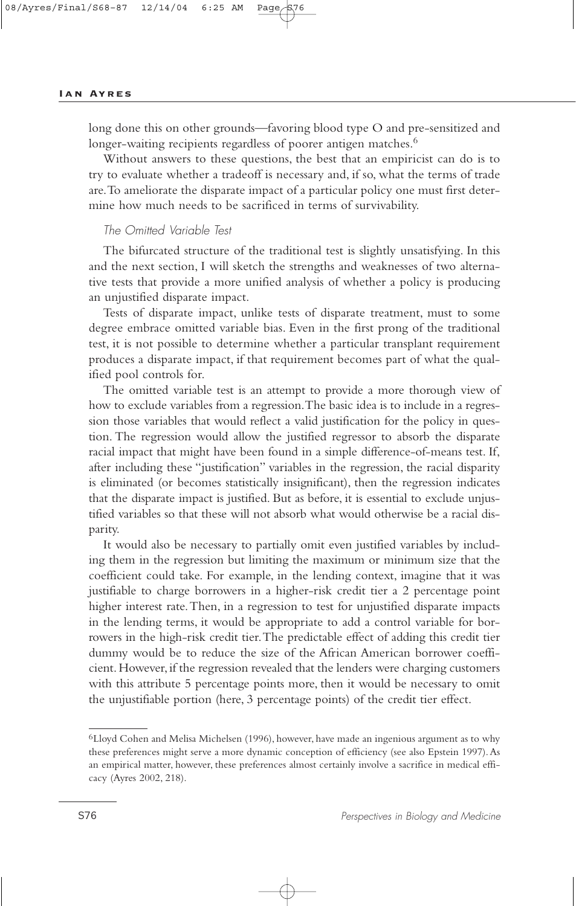long done this on other grounds—favoring blood type O and pre-sensitized and longer-waiting recipients regardless of poorer antigen matches.<sup>6</sup>

Without answers to these questions, the best that an empiricist can do is to try to evaluate whether a tradeoff is necessary and, if so, what the terms of trade are.To ameliorate the disparate impact of a particular policy one must first determine how much needs to be sacrificed in terms of survivability.

#### *The Omitted Variable Test*

The bifurcated structure of the traditional test is slightly unsatisfying. In this and the next section, I will sketch the strengths and weaknesses of two alternative tests that provide a more unified analysis of whether a policy is producing an unjustified disparate impact.

Tests of disparate impact, unlike tests of disparate treatment, must to some degree embrace omitted variable bias. Even in the first prong of the traditional test, it is not possible to determine whether a particular transplant requirement produces a disparate impact, if that requirement becomes part of what the qualified pool controls for.

The omitted variable test is an attempt to provide a more thorough view of how to exclude variables from a regression.The basic idea is to include in a regression those variables that would reflect a valid justification for the policy in question. The regression would allow the justified regressor to absorb the disparate racial impact that might have been found in a simple difference-of-means test. If, after including these "justification" variables in the regression, the racial disparity is eliminated (or becomes statistically insignificant), then the regression indicates that the disparate impact is justified. But as before, it is essential to exclude unjustified variables so that these will not absorb what would otherwise be a racial disparity.

It would also be necessary to partially omit even justified variables by including them in the regression but limiting the maximum or minimum size that the coefficient could take. For example, in the lending context, imagine that it was justifiable to charge borrowers in a higher-risk credit tier a 2 percentage point higher interest rate.Then, in a regression to test for unjustified disparate impacts in the lending terms, it would be appropriate to add a control variable for borrowers in the high-risk credit tier.The predictable effect of adding this credit tier dummy would be to reduce the size of the African American borrower coefficient.However,if the regression revealed that the lenders were charging customers with this attribute 5 percentage points more, then it would be necessary to omit the unjustifiable portion (here, 3 percentage points) of the credit tier effect.

<sup>6</sup>Lloyd Cohen and Melisa Michelsen (1996), however, have made an ingenious argument as to why these preferences might serve a more dynamic conception of efficiency (see also Epstein 1997).As an empirical matter, however, these preferences almost certainly involve a sacrifice in medical efficacy (Ayres 2002, 218).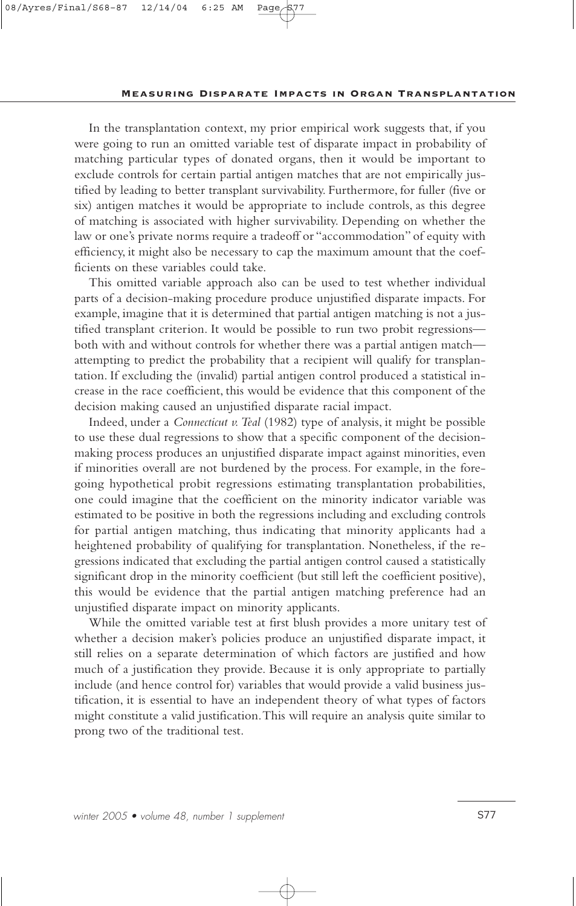In the transplantation context, my prior empirical work suggests that, if you were going to run an omitted variable test of disparate impact in probability of matching particular types of donated organs, then it would be important to exclude controls for certain partial antigen matches that are not empirically justified by leading to better transplant survivability. Furthermore, for fuller (five or six) antigen matches it would be appropriate to include controls, as this degree of matching is associated with higher survivability. Depending on whether the law or one's private norms require a tradeoff or "accommodation" of equity with efficiency, it might also be necessary to cap the maximum amount that the coefficients on these variables could take.

This omitted variable approach also can be used to test whether individual parts of a decision-making procedure produce unjustified disparate impacts. For example, imagine that it is determined that partial antigen matching is not a justified transplant criterion. It would be possible to run two probit regressions both with and without controls for whether there was a partial antigen match attempting to predict the probability that a recipient will qualify for transplantation. If excluding the (invalid) partial antigen control produced a statistical increase in the race coefficient, this would be evidence that this component of the decision making caused an unjustified disparate racial impact.

Indeed, under a *Connecticut v. Teal* (1982) type of analysis, it might be possible to use these dual regressions to show that a specific component of the decisionmaking process produces an unjustified disparate impact against minorities, even if minorities overall are not burdened by the process. For example, in the foregoing hypothetical probit regressions estimating transplantation probabilities, one could imagine that the coefficient on the minority indicator variable was estimated to be positive in both the regressions including and excluding controls for partial antigen matching, thus indicating that minority applicants had a heightened probability of qualifying for transplantation. Nonetheless, if the regressions indicated that excluding the partial antigen control caused a statistically significant drop in the minority coefficient (but still left the coefficient positive), this would be evidence that the partial antigen matching preference had an unjustified disparate impact on minority applicants.

While the omitted variable test at first blush provides a more unitary test of whether a decision maker's policies produce an unjustified disparate impact, it still relies on a separate determination of which factors are justified and how much of a justification they provide. Because it is only appropriate to partially include (and hence control for) variables that would provide a valid business justification, it is essential to have an independent theory of what types of factors might constitute a valid justification.This will require an analysis quite similar to prong two of the traditional test.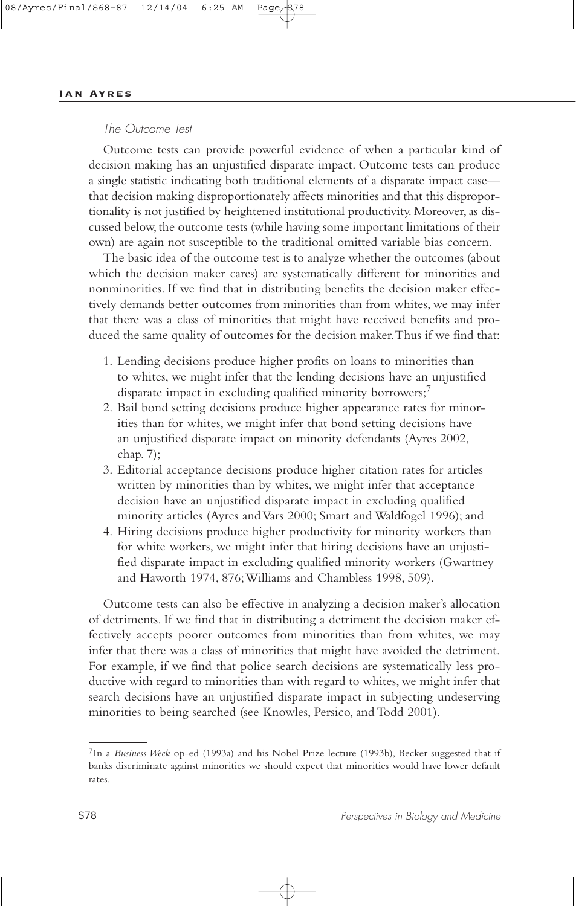# *The Outcome Test*

Outcome tests can provide powerful evidence of when a particular kind of decision making has an unjustified disparate impact. Outcome tests can produce a single statistic indicating both traditional elements of a disparate impact case that decision making disproportionately affects minorities and that this disproportionality is not justified by heightened institutional productivity. Moreover, as discussed below, the outcome tests (while having some important limitations of their own) are again not susceptible to the traditional omitted variable bias concern.

The basic idea of the outcome test is to analyze whether the outcomes (about which the decision maker cares) are systematically different for minorities and nonminorities. If we find that in distributing benefits the decision maker effectively demands better outcomes from minorities than from whites, we may infer that there was a class of minorities that might have received benefits and produced the same quality of outcomes for the decision maker.Thus if we find that:

- 1. Lending decisions produce higher profits on loans to minorities than to whites, we might infer that the lending decisions have an unjustified disparate impact in excluding qualified minority borrowers; $\frac{7}{1}$
- 2. Bail bond setting decisions produce higher appearance rates for minorities than for whites, we might infer that bond setting decisions have an unjustified disparate impact on minority defendants (Ayres 2002, chap. 7);
- 3. Editorial acceptance decisions produce higher citation rates for articles written by minorities than by whites, we might infer that acceptance decision have an unjustified disparate impact in excluding qualified minority articles (Ayres and Vars 2000; Smart and Waldfogel 1996); and
- 4. Hiring decisions produce higher productivity for minority workers than for white workers, we might infer that hiring decisions have an unjustified disparate impact in excluding qualified minority workers (Gwartney and Haworth 1974, 876;Williams and Chambless 1998, 509).

Outcome tests can also be effective in analyzing a decision maker's allocation of detriments. If we find that in distributing a detriment the decision maker effectively accepts poorer outcomes from minorities than from whites, we may infer that there was a class of minorities that might have avoided the detriment. For example, if we find that police search decisions are systematically less productive with regard to minorities than with regard to whites, we might infer that search decisions have an unjustified disparate impact in subjecting undeserving minorities to being searched (see Knowles, Persico, and Todd 2001).

<sup>7</sup>In a *Business Week* op-ed (1993a) and his Nobel Prize lecture (1993b), Becker suggested that if banks discriminate against minorities we should expect that minorities would have lower default rates.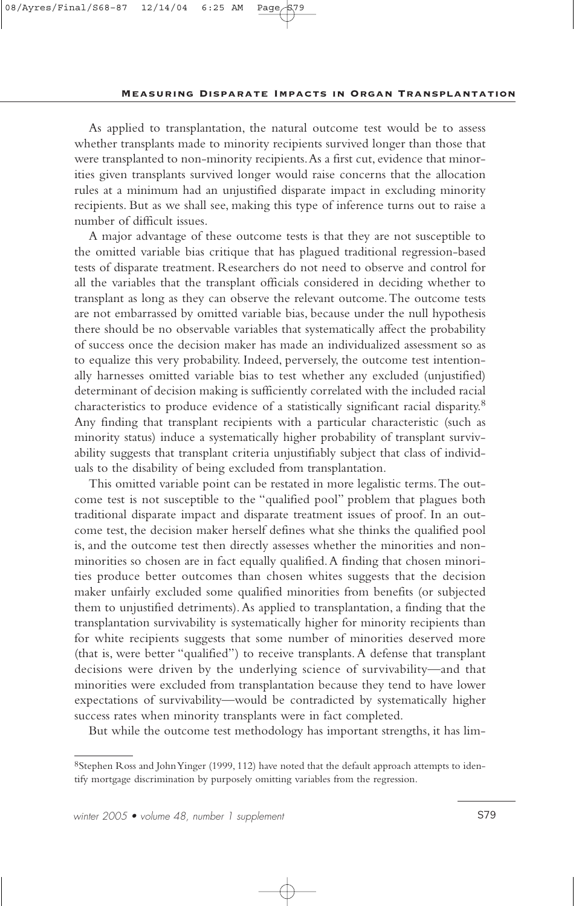As applied to transplantation, the natural outcome test would be to assess whether transplants made to minority recipients survived longer than those that were transplanted to non-minority recipients.As a first cut, evidence that minorities given transplants survived longer would raise concerns that the allocation rules at a minimum had an unjustified disparate impact in excluding minority recipients. But as we shall see, making this type of inference turns out to raise a number of difficult issues.

A major advantage of these outcome tests is that they are not susceptible to the omitted variable bias critique that has plagued traditional regression-based tests of disparate treatment. Researchers do not need to observe and control for all the variables that the transplant officials considered in deciding whether to transplant as long as they can observe the relevant outcome.The outcome tests are not embarrassed by omitted variable bias, because under the null hypothesis there should be no observable variables that systematically affect the probability of success once the decision maker has made an individualized assessment so as to equalize this very probability. Indeed, perversely, the outcome test intentionally harnesses omitted variable bias to test whether any excluded (unjustified) determinant of decision making is sufficiently correlated with the included racial characteristics to produce evidence of a statistically significant racial disparity.<sup>8</sup> Any finding that transplant recipients with a particular characteristic (such as minority status) induce a systematically higher probability of transplant survivability suggests that transplant criteria unjustifiably subject that class of individuals to the disability of being excluded from transplantation.

This omitted variable point can be restated in more legalistic terms.The outcome test is not susceptible to the "qualified pool" problem that plagues both traditional disparate impact and disparate treatment issues of proof. In an outcome test, the decision maker herself defines what she thinks the qualified pool is, and the outcome test then directly assesses whether the minorities and nonminorities so chosen are in fact equally qualified.A finding that chosen minorities produce better outcomes than chosen whites suggests that the decision maker unfairly excluded some qualified minorities from benefits (or subjected them to unjustified detriments).As applied to transplantation, a finding that the transplantation survivability is systematically higher for minority recipients than for white recipients suggests that some number of minorities deserved more (that is, were better "qualified") to receive transplants. A defense that transplant decisions were driven by the underlying science of survivability—and that minorities were excluded from transplantation because they tend to have lower expectations of survivability—would be contradicted by systematically higher success rates when minority transplants were in fact completed.

But while the outcome test methodology has important strengths, it has lim-

<sup>8</sup>Stephen Ross and John Yinger (1999, 112) have noted that the default approach attempts to identify mortgage discrimination by purposely omitting variables from the regression.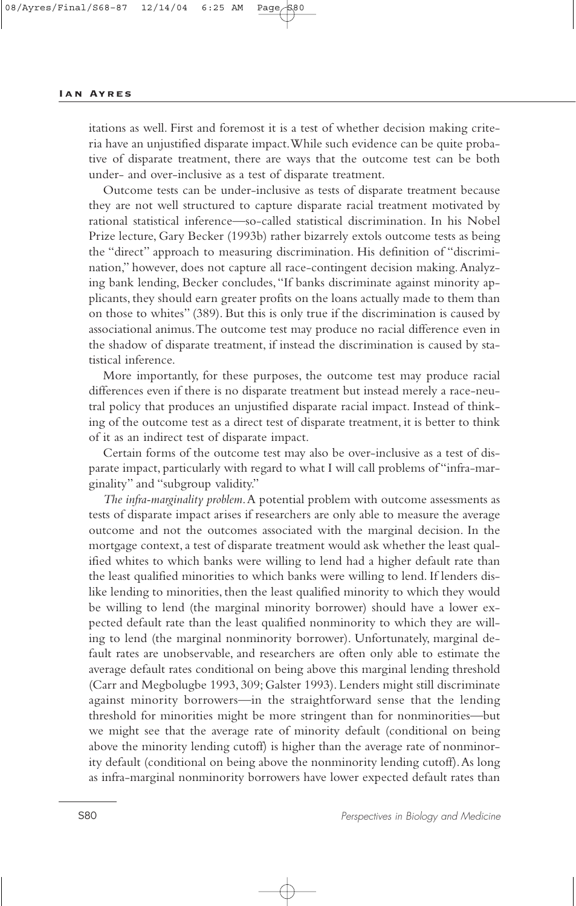itations as well. First and foremost it is a test of whether decision making criteria have an unjustified disparate impact.While such evidence can be quite probative of disparate treatment, there are ways that the outcome test can be both under- and over-inclusive as a test of disparate treatment.

Outcome tests can be under-inclusive as tests of disparate treatment because they are not well structured to capture disparate racial treatment motivated by rational statistical inference—so-called statistical discrimination. In his Nobel Prize lecture, Gary Becker (1993b) rather bizarrely extols outcome tests as being the "direct" approach to measuring discrimination. His definition of "discrimination," however, does not capture all race-contingent decision making.Analyzing bank lending, Becker concludes,"If banks discriminate against minority applicants, they should earn greater profits on the loans actually made to them than on those to whites" (389). But this is only true if the discrimination is caused by associational animus.The outcome test may produce no racial difference even in the shadow of disparate treatment, if instead the discrimination is caused by statistical inference.

More importantly, for these purposes, the outcome test may produce racial differences even if there is no disparate treatment but instead merely a race-neutral policy that produces an unjustified disparate racial impact. Instead of thinking of the outcome test as a direct test of disparate treatment, it is better to think of it as an indirect test of disparate impact.

Certain forms of the outcome test may also be over-inclusive as a test of disparate impact, particularly with regard to what I will call problems of "infra-marginality" and "subgroup validity."

*The infra-marginality problem*.A potential problem with outcome assessments as tests of disparate impact arises if researchers are only able to measure the average outcome and not the outcomes associated with the marginal decision. In the mortgage context, a test of disparate treatment would ask whether the least qualified whites to which banks were willing to lend had a higher default rate than the least qualified minorities to which banks were willing to lend. If lenders dislike lending to minorities, then the least qualified minority to which they would be willing to lend (the marginal minority borrower) should have a lower expected default rate than the least qualified nonminority to which they are willing to lend (the marginal nonminority borrower). Unfortunately, marginal default rates are unobservable, and researchers are often only able to estimate the average default rates conditional on being above this marginal lending threshold (Carr and Megbolugbe 1993, 309; Galster 1993). Lenders might still discriminate against minority borrowers—in the straightforward sense that the lending threshold for minorities might be more stringent than for nonminorities—but we might see that the average rate of minority default (conditional on being above the minority lending cutoff) is higher than the average rate of nonminority default (conditional on being above the nonminority lending cutoff).As long as infra-marginal nonminority borrowers have lower expected default rates than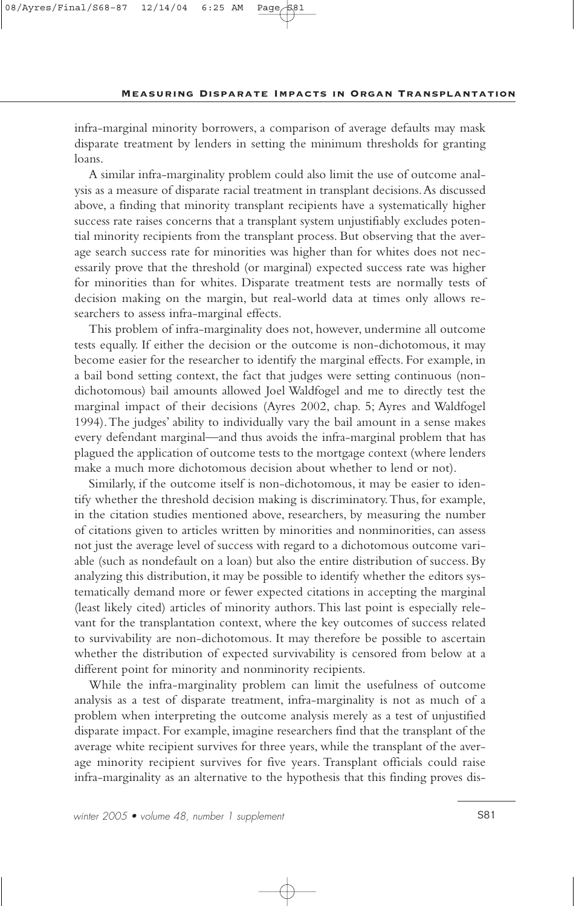infra-marginal minority borrowers, a comparison of average defaults may mask disparate treatment by lenders in setting the minimum thresholds for granting loans.

A similar infra-marginality problem could also limit the use of outcome analysis as a measure of disparate racial treatment in transplant decisions.As discussed above, a finding that minority transplant recipients have a systematically higher success rate raises concerns that a transplant system unjustifiably excludes potential minority recipients from the transplant process. But observing that the average search success rate for minorities was higher than for whites does not necessarily prove that the threshold (or marginal) expected success rate was higher for minorities than for whites. Disparate treatment tests are normally tests of decision making on the margin, but real-world data at times only allows researchers to assess infra-marginal effects.

This problem of infra-marginality does not, however, undermine all outcome tests equally. If either the decision or the outcome is non-dichotomous, it may become easier for the researcher to identify the marginal effects. For example, in a bail bond setting context, the fact that judges were setting continuous (nondichotomous) bail amounts allowed Joel Waldfogel and me to directly test the marginal impact of their decisions (Ayres 2002, chap. 5; Ayres and Waldfogel 1994).The judges' ability to individually vary the bail amount in a sense makes every defendant marginal—and thus avoids the infra-marginal problem that has plagued the application of outcome tests to the mortgage context (where lenders make a much more dichotomous decision about whether to lend or not).

Similarly, if the outcome itself is non-dichotomous, it may be easier to identify whether the threshold decision making is discriminatory.Thus, for example, in the citation studies mentioned above, researchers, by measuring the number of citations given to articles written by minorities and nonminorities, can assess not just the average level of success with regard to a dichotomous outcome variable (such as nondefault on a loan) but also the entire distribution of success. By analyzing this distribution, it may be possible to identify whether the editors systematically demand more or fewer expected citations in accepting the marginal (least likely cited) articles of minority authors.This last point is especially relevant for the transplantation context, where the key outcomes of success related to survivability are non-dichotomous. It may therefore be possible to ascertain whether the distribution of expected survivability is censored from below at a different point for minority and nonminority recipients.

While the infra-marginality problem can limit the usefulness of outcome analysis as a test of disparate treatment, infra-marginality is not as much of a problem when interpreting the outcome analysis merely as a test of unjustified disparate impact. For example, imagine researchers find that the transplant of the average white recipient survives for three years, while the transplant of the average minority recipient survives for five years. Transplant officials could raise infra-marginality as an alternative to the hypothesis that this finding proves dis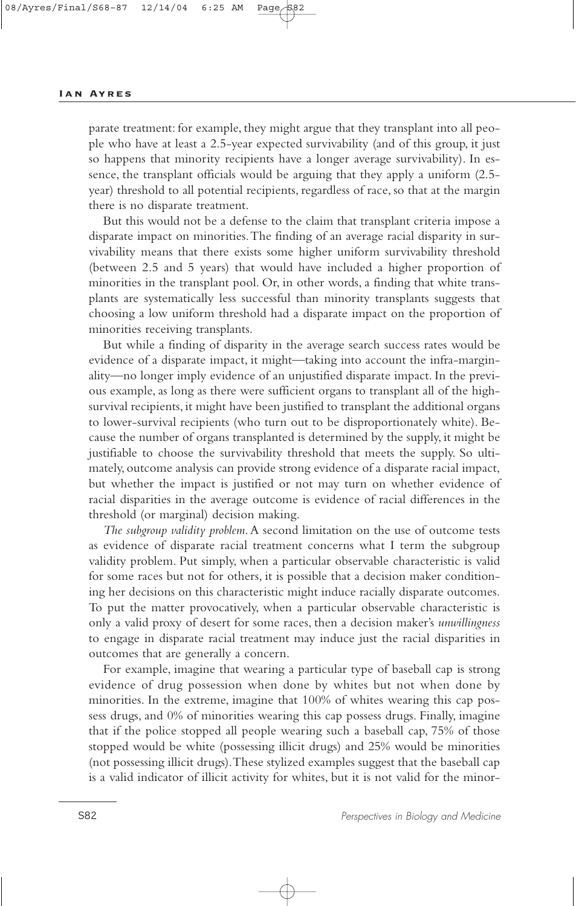parate treatment: for example, they might argue that they transplant into all people who have at least a 2.5-year expected survivability (and of this group, it just so happens that minority recipients have a longer average survivability). In essence, the transplant officials would be arguing that they apply a uniform (2.5 year) threshold to all potential recipients, regardless of race, so that at the margin there is no disparate treatment.

But this would not be a defense to the claim that transplant criteria impose a disparate impact on minorities.The finding of an average racial disparity in survivability means that there exists some higher uniform survivability threshold (between 2.5 and 5 years) that would have included a higher proportion of minorities in the transplant pool. Or, in other words, a finding that white transplants are systematically less successful than minority transplants suggests that choosing a low uniform threshold had a disparate impact on the proportion of minorities receiving transplants.

But while a finding of disparity in the average search success rates would be evidence of a disparate impact, it might—taking into account the infra-marginality—no longer imply evidence of an unjustified disparate impact. In the previous example, as long as there were sufficient organs to transplant all of the highsurvival recipients, it might have been justified to transplant the additional organs to lower-survival recipients (who turn out to be disproportionately white). Because the number of organs transplanted is determined by the supply, it might be justifiable to choose the survivability threshold that meets the supply. So ultimately, outcome analysis can provide strong evidence of a disparate racial impact, but whether the impact is justified or not may turn on whether evidence of racial disparities in the average outcome is evidence of racial differences in the threshold (or marginal) decision making.

*The subgroup validity problem*.A second limitation on the use of outcome tests as evidence of disparate racial treatment concerns what I term the subgroup validity problem. Put simply, when a particular observable characteristic is valid for some races but not for others, it is possible that a decision maker conditioning her decisions on this characteristic might induce racially disparate outcomes. To put the matter provocatively, when a particular observable characteristic is only a valid proxy of desert for some races, then a decision maker's *unwillingness* to engage in disparate racial treatment may induce just the racial disparities in outcomes that are generally a concern.

For example, imagine that wearing a particular type of baseball cap is strong evidence of drug possession when done by whites but not when done by minorities. In the extreme, imagine that 100% of whites wearing this cap possess drugs, and 0% of minorities wearing this cap possess drugs. Finally, imagine that if the police stopped all people wearing such a baseball cap, 75% of those stopped would be white (possessing illicit drugs) and 25% would be minorities (not possessing illicit drugs).These stylized examples suggest that the baseball cap is a valid indicator of illicit activity for whites, but it is not valid for the minor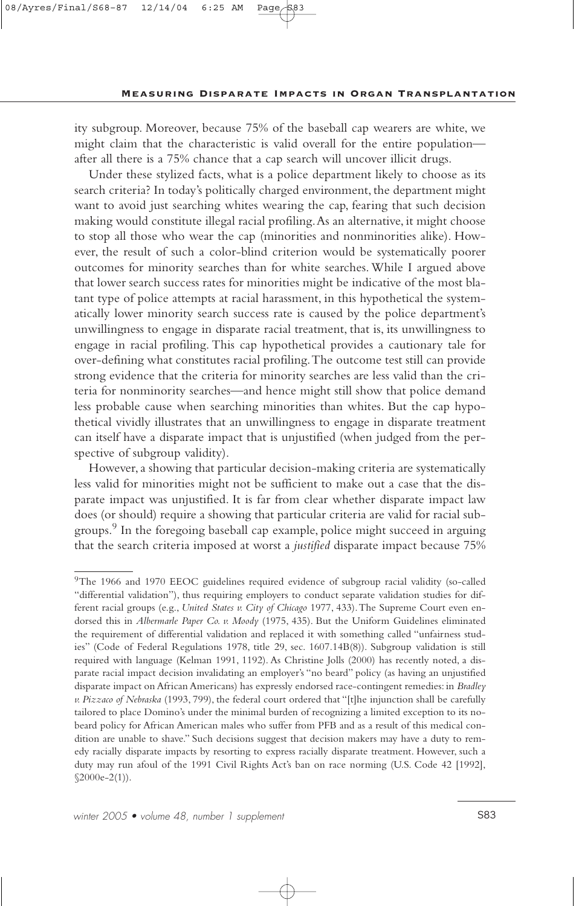ity subgroup. Moreover, because 75% of the baseball cap wearers are white, we might claim that the characteristic is valid overall for the entire population after all there is a 75% chance that a cap search will uncover illicit drugs.

Under these stylized facts, what is a police department likely to choose as its search criteria? In today's politically charged environment, the department might want to avoid just searching whites wearing the cap, fearing that such decision making would constitute illegal racial profiling.As an alternative, it might choose to stop all those who wear the cap (minorities and nonminorities alike). However, the result of such a color-blind criterion would be systematically poorer outcomes for minority searches than for white searches. While I argued above that lower search success rates for minorities might be indicative of the most blatant type of police attempts at racial harassment, in this hypothetical the systematically lower minority search success rate is caused by the police department's unwillingness to engage in disparate racial treatment, that is, its unwillingness to engage in racial profiling. This cap hypothetical provides a cautionary tale for over-defining what constitutes racial profiling.The outcome test still can provide strong evidence that the criteria for minority searches are less valid than the criteria for nonminority searches—and hence might still show that police demand less probable cause when searching minorities than whites. But the cap hypothetical vividly illustrates that an unwillingness to engage in disparate treatment can itself have a disparate impact that is unjustified (when judged from the perspective of subgroup validity).

However, a showing that particular decision-making criteria are systematically less valid for minorities might not be sufficient to make out a case that the disparate impact was unjustified. It is far from clear whether disparate impact law does (or should) require a showing that particular criteria are valid for racial subgroups.<sup>9</sup> In the foregoing baseball cap example, police might succeed in arguing that the search criteria imposed at worst a *justified* disparate impact because 75%

<sup>9</sup>The 1966 and 1970 EEOC guidelines required evidence of subgroup racial validity (so-called "differential validation"), thus requiring employers to conduct separate validation studies for different racial groups (e.g., *United States v. City of Chicago* 1977, 433).The Supreme Court even endorsed this in *Albermarle Paper Co. v. Moody* (1975, 435). But the Uniform Guidelines eliminated the requirement of differential validation and replaced it with something called "unfairness studies" (Code of Federal Regulations 1978, title 29, sec. 1607.14B(8)). Subgroup validation is still required with language (Kelman 1991, 1192). As Christine Jolls (2000) has recently noted, a disparate racial impact decision invalidating an employer's "no beard" policy (as having an unjustified disparate impact on African Americans) has expressly endorsed race-contingent remedies: in *Bradley v. Pizzaco of Nebraska* (1993, 799), the federal court ordered that "[t]he injunction shall be carefully tailored to place Domino's under the minimal burden of recognizing a limited exception to its nobeard policy for African American males who suffer from PFB and as a result of this medical condition are unable to shave." Such decisions suggest that decision makers may have a duty to remedy racially disparate impacts by resorting to express racially disparate treatment. However, such a duty may run afoul of the 1991 Civil Rights Act's ban on race norming (U.S. Code 42 [1992],  $$2000e-2(1)$ .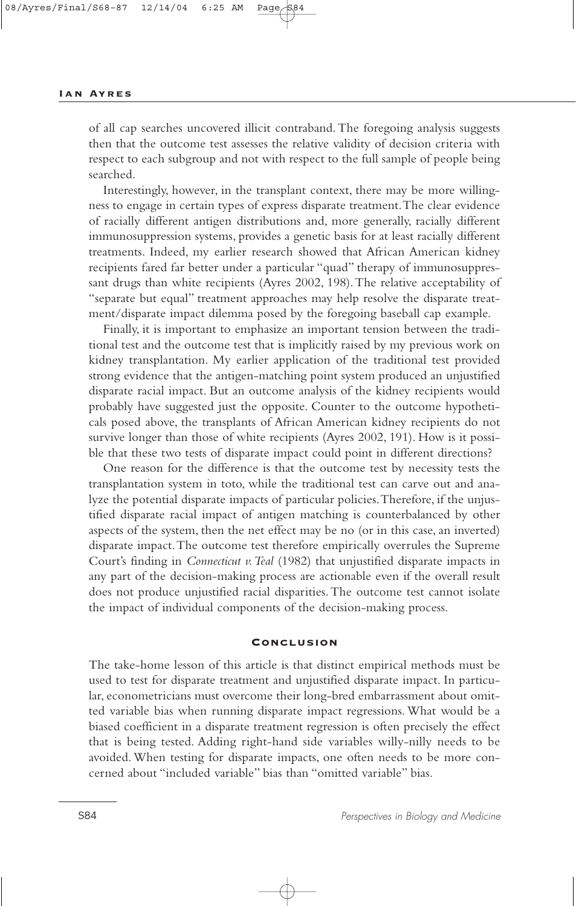of all cap searches uncovered illicit contraband.The foregoing analysis suggests then that the outcome test assesses the relative validity of decision criteria with respect to each subgroup and not with respect to the full sample of people being searched.

Interestingly, however, in the transplant context, there may be more willingness to engage in certain types of express disparate treatment.The clear evidence of racially different antigen distributions and, more generally, racially different immunosuppression systems, provides a genetic basis for at least racially different treatments. Indeed, my earlier research showed that African American kidney recipients fared far better under a particular "quad" therapy of immunosuppressant drugs than white recipients (Ayres 2002, 198).The relative acceptability of "separate but equal" treatment approaches may help resolve the disparate treatment/disparate impact dilemma posed by the foregoing baseball cap example.

Finally, it is important to emphasize an important tension between the traditional test and the outcome test that is implicitly raised by my previous work on kidney transplantation. My earlier application of the traditional test provided strong evidence that the antigen-matching point system produced an unjustified disparate racial impact. But an outcome analysis of the kidney recipients would probably have suggested just the opposite. Counter to the outcome hypotheticals posed above, the transplants of African American kidney recipients do not survive longer than those of white recipients (Ayres 2002, 191). How is it possible that these two tests of disparate impact could point in different directions?

One reason for the difference is that the outcome test by necessity tests the transplantation system in toto, while the traditional test can carve out and analyze the potential disparate impacts of particular policies.Therefore, if the unjustified disparate racial impact of antigen matching is counterbalanced by other aspects of the system, then the net effect may be no (or in this case, an inverted) disparate impact.The outcome test therefore empirically overrules the Supreme Court's finding in *Connecticut v.Teal* (1982) that unjustified disparate impacts in any part of the decision-making process are actionable even if the overall result does not produce unjustified racial disparities.The outcome test cannot isolate the impact of individual components of the decision-making process.

### **CONCLUSION**

The take-home lesson of this article is that distinct empirical methods must be used to test for disparate treatment and unjustified disparate impact. In particular, econometricians must overcome their long-bred embarrassment about omitted variable bias when running disparate impact regressions. What would be a biased coefficient in a disparate treatment regression is often precisely the effect that is being tested. Adding right-hand side variables willy-nilly needs to be avoided. When testing for disparate impacts, one often needs to be more concerned about "included variable" bias than "omitted variable" bias.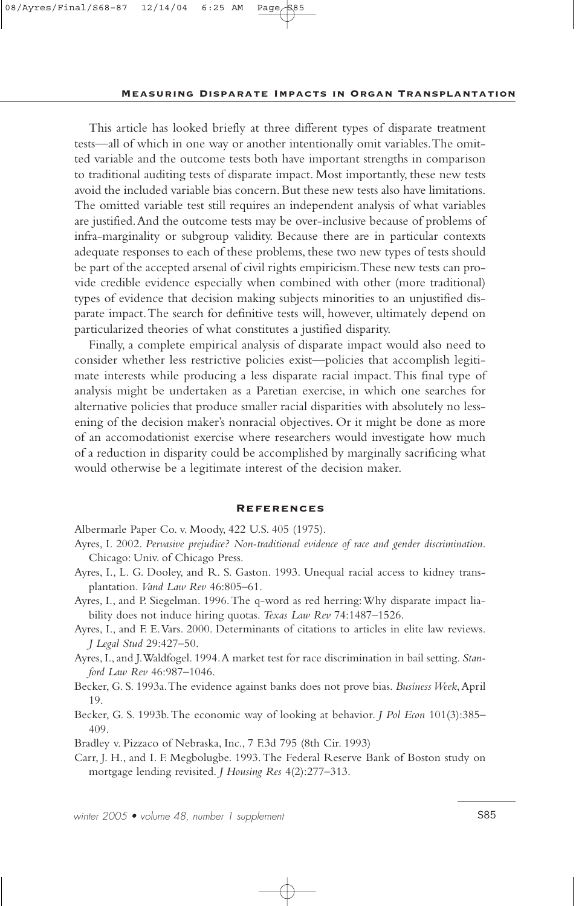This article has looked briefly at three different types of disparate treatment tests—all of which in one way or another intentionally omit variables.The omitted variable and the outcome tests both have important strengths in comparison to traditional auditing tests of disparate impact. Most importantly, these new tests avoid the included variable bias concern. But these new tests also have limitations. The omitted variable test still requires an independent analysis of what variables are justified.And the outcome tests may be over-inclusive because of problems of infra-marginality or subgroup validity. Because there are in particular contexts adequate responses to each of these problems, these two new types of tests should be part of the accepted arsenal of civil rights empiricism.These new tests can provide credible evidence especially when combined with other (more traditional) types of evidence that decision making subjects minorities to an unjustified disparate impact.The search for definitive tests will, however, ultimately depend on particularized theories of what constitutes a justified disparity.

Finally, a complete empirical analysis of disparate impact would also need to consider whether less restrictive policies exist—policies that accomplish legitimate interests while producing a less disparate racial impact. This final type of analysis might be undertaken as a Paretian exercise, in which one searches for alternative policies that produce smaller racial disparities with absolutely no lessening of the decision maker's nonracial objectives. Or it might be done as more of an accomodationist exercise where researchers would investigate how much of a reduction in disparity could be accomplished by marginally sacrificing what would otherwise be a legitimate interest of the decision maker.

#### **REFERENCES**

Albermarle Paper Co. v. Moody, 422 U.S. 405 (1975).

- Ayres, I. 2002. *Pervasive prejudice? Non-traditional evidence of race and gender discrimination*. Chicago: Univ. of Chicago Press.
- Ayres, I., L. G. Dooley, and R. S. Gaston. 1993. Unequal racial access to kidney transplantation. *Vand Law Rev* 46:805–61.
- Ayres, I., and P. Siegelman. 1996.The q-word as red herring:Why disparate impact liability does not induce hiring quotas. *Texas Law Rev* 74:1487–1526.
- Ayres, I., and F. E.Vars. 2000. Determinants of citations to articles in elite law reviews. *J Legal Stud* 29:427–50.
- Ayres, I., and J.Waldfogel. 1994.A market test for race discrimination in bail setting. *Stanford Law Rev* 46:987–1046.
- Becker, G. S. 1993a.The evidence against banks does not prove bias. *Business Week*,April 19.
- Becker, G. S. 1993b.The economic way of looking at behavior. *J Pol Econ* 101(3):385– 409.

Bradley v. Pizzaco of Nebraska, Inc., 7 F.3d 795 (8th Cir. 1993)

Carr, J. H., and I. F. Megbolugbe. 1993.The Federal Reserve Bank of Boston study on mortgage lending revisited. *J Housing Res* 4(2):277–313.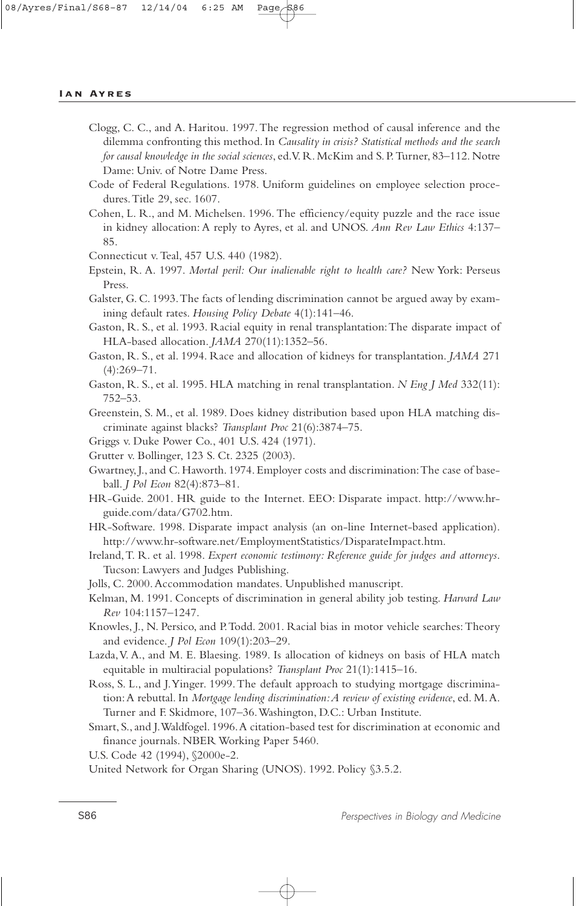- Clogg, C. C., and A. Haritou. 1997.The regression method of causal inference and the dilemma confronting this method. In *Causality in crisis? Statistical methods and the search for causal knowledge in the social sciences*, ed.V. R. McKim and S. P.Turner, 83–112. Notre Dame: Univ. of Notre Dame Press.
- Code of Federal Regulations. 1978. Uniform guidelines on employee selection procedures.Title 29, sec. 1607.
- Cohen, L. R., and M. Michelsen. 1996. The efficiency/equity puzzle and the race issue in kidney allocation: A reply to Ayres, et al. and UNOS. *Ann Rev Law Ethics* 4:137– 85.
- Connecticut v. Teal, 457 U.S. 440 (1982).
- Epstein, R. A. 1997. *Mortal peril: Our inalienable right to health care?* New York: Perseus Press.
- Galster, G. C. 1993.The facts of lending discrimination cannot be argued away by examining default rates. *Housing Policy Debate* 4(1):141–46.
- Gaston, R. S., et al. 1993. Racial equity in renal transplantation:The disparate impact of HLA-based allocation. *JAMA* 270(11):1352–56.
- Gaston, R. S., et al. 1994. Race and allocation of kidneys for transplantation. *JAMA* 271  $(4):269 - 71.$
- Gaston, R. S., et al. 1995. HLA matching in renal transplantation. *N Eng J Med* 332(11): 752–53.
- Greenstein, S. M., et al. 1989. Does kidney distribution based upon HLA matching discriminate against blacks? *Transplant Proc* 21(6):3874–75.
- Griggs v. Duke Power Co., 401 U.S. 424 (1971).
- Grutter v. Bollinger, 123 S. Ct. 2325 (2003).
- Gwartney, J., and C. Haworth. 1974. Employer costs and discrimination:The case of baseball. *J Pol Econ* 82(4):873–81.
- HR-Guide. 2001. HR guide to the Internet. EEO: Disparate impact. http://www.hrguide.com/data/G702.htm.
- HR-Software. 1998. Disparate impact analysis (an on-line Internet-based application). http://www.hr-software.net/EmploymentStatistics/DisparateImpact.htm.
- Ireland,T. R. et al. 1998. *Expert economic testimony: Reference guide for judges and attorneys*. Tucson: Lawyers and Judges Publishing.
- Jolls, C. 2000.Accommodation mandates. Unpublished manuscript.
- Kelman, M. 1991. Concepts of discrimination in general ability job testing. *Harvard Law Rev* 104:1157–1247.
- Knowles, J., N. Persico, and P.Todd. 2001. Racial bias in motor vehicle searches: Theory and evidence. *J Pol Econ* 109(1):203–29.
- Lazda,V. A., and M. E. Blaesing. 1989. Is allocation of kidneys on basis of HLA match equitable in multiracial populations? *Transplant Proc* 21(1):1415–16.
- Ross, S. L., and J.Yinger. 1999.The default approach to studying mortgage discrimination:A rebuttal. In *Mortgage lending discrimination:A review of existing evidence*, ed. M.A. Turner and F. Skidmore, 107–36.Washington, D.C.: Urban Institute.
- Smart, S., and J.Waldfogel. 1996.A citation-based test for discrimination at economic and finance journals. NBER Working Paper 5460.
- U.S. Code 42 (1994), §2000e-2.
- United Network for Organ Sharing (UNOS). 1992. Policy §3.5.2.